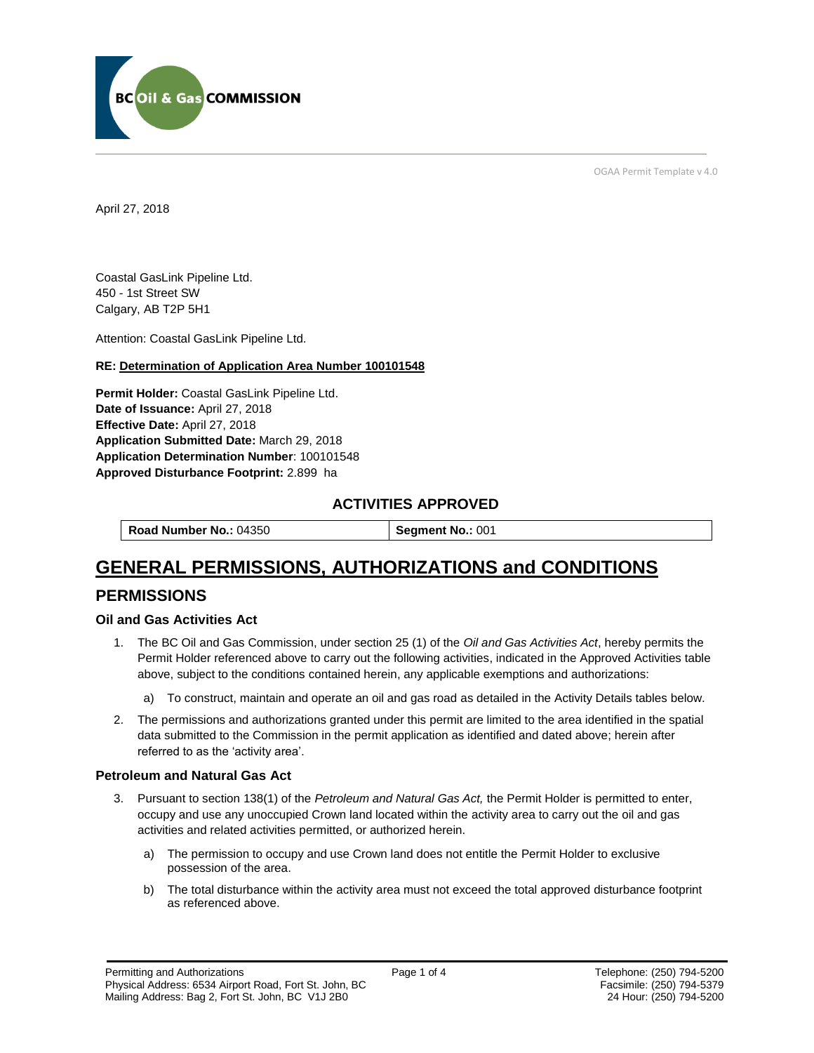

OGAA Permit Template v 4.0

April 27, 2018

Coastal GasLink Pipeline Ltd. 450 - 1st Street SW Calgary, AB T2P 5H1

[Attention:](#page-0-0) Coastal GasLink Pipeline Ltd.

#### **RE: Determination of Application Area Number 100101548**

**[Permit Holder:](#page-0-0)** Coastal GasLink Pipeline Ltd. **[Date of Issuance:](#page-0-0)** April 27, 2018 **[Effective Date:](#page-0-1)** April 27, 2018 **[Application Submitted Date:](#page-0-0)** March 29, 2018 **[Application Determination Number](#page-0-0)**: 100101548 **Approved Disturbance Footprint:** 2.899 ha

### **ACTIVITIES APPROVED**

**[Road Number No.:](#page-0-0) 04350 <b>[Segment No.:](https://bi.bcogc.ca/Application%20Processing/Interactive%20Reports/(BIL-041)%20AMS%20Decision%20Summary.aspx) 001** 

# **GENERAL PERMISSIONS, AUTHORIZATIONS and CONDITIONS**

### **PERMISSIONS**

#### **Oil and Gas Activities Act**

- <span id="page-0-0"></span>1. The BC Oil and Gas Commission, under section 25 (1) of the *Oil and Gas Activities Act*, hereby permits the Permit Holder referenced above to carry out the following activities, indicated in the Approved Activities table above, subject to the conditions contained herein, any applicable exemptions and authorizations:
	- a) To construct, maintain and operate an oil and gas road as detailed in the Activity Details tables below.
- <span id="page-0-1"></span>2. The permissions and authorizations granted under this permit are limited to the area identified in the spatial data submitted to the Commission in the permit application as identified and dated above; herein after referred to as the 'activity area'.

#### **Petroleum and Natural Gas Act**

- 3. Pursuant to section 138(1) of the *Petroleum and Natural Gas Act,* the Permit Holder is permitted to enter, occupy and use any unoccupied Crown land located within the activity area to carry out the oil and gas activities and related activities permitted, or authorized herein.
	- a) The permission to occupy and use Crown land does not entitle the Permit Holder to exclusive possession of the area.
	- b) The total disturbance within the activity area must not exceed the total approved disturbance footprint as referenced above.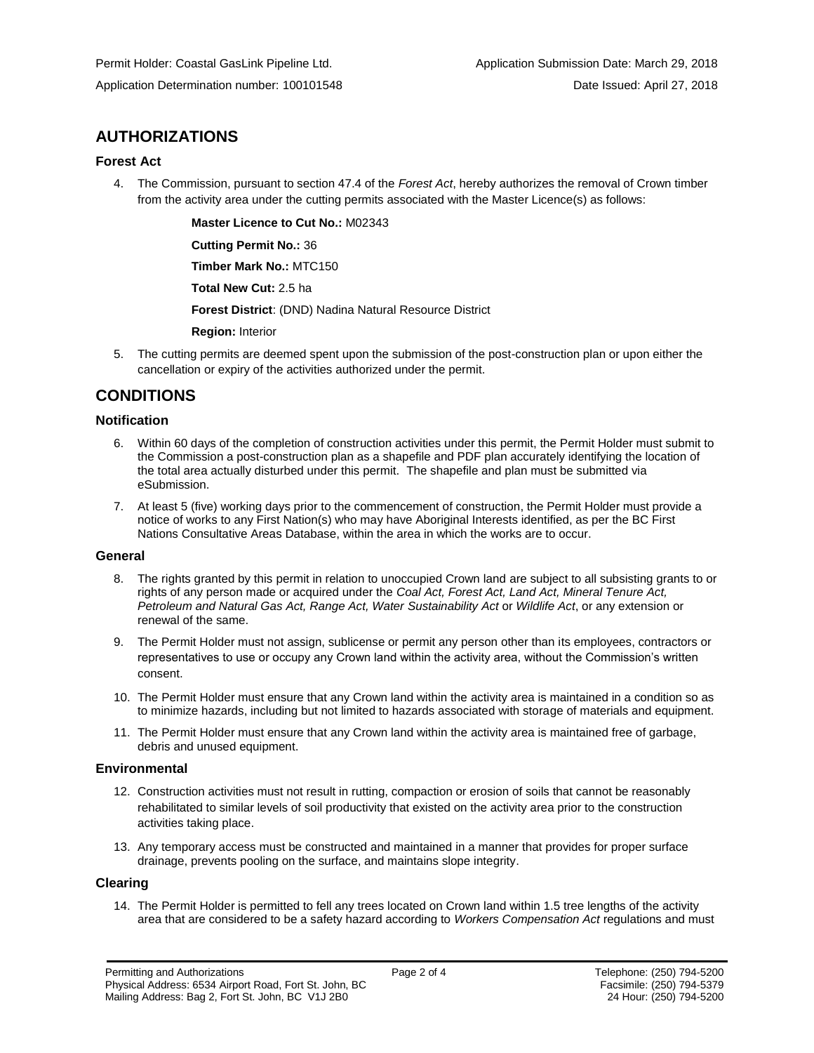## **AUTHORIZATIONS**

#### **Forest Act**

4. The Commission, pursuant to section 47.4 of the *Forest Act*, hereby authorizes the removal of Crown timber from the activity area under the cutting permits associated with the Master Licence(s) as follows:

**[Master Licence to Cut No.:](#page-0-0)** M02343

**[Cutting Permit No.:](#page-0-0)** 36

**[Timber Mark No.:](#page-0-0)** MTC150

**[Total New Cut:](#page-0-0)** 2.5 ha

**[Forest District](https://ams-crd.bcogc.ca/crd/)**: (DND) Nadina Natural Resource District

**[Region:](#page-0-1)** Interior

5. The cutting permits are deemed spent upon the submission of the post-construction plan or upon either the cancellation or expiry of the activities authorized under the permit.

## **CONDITIONS**

#### **Notification**

- 6. Within 60 days of the completion of construction activities under this permit, the Permit Holder must submit to the Commission a post-construction plan as a shapefile and PDF plan accurately identifying the location of the total area actually disturbed under this permit. The shapefile and plan must be submitted via eSubmission.
- 7. At least 5 (five) working days prior to the commencement of construction, the Permit Holder must provide a notice of works to any First Nation(s) who may have Aboriginal Interests identified, as per the BC First Nations Consultative Areas Database, within the area in which the works are to occur.

#### **General**

- 8. The rights granted by this permit in relation to unoccupied Crown land are subject to all subsisting grants to or rights of any person made or acquired under the *Coal Act, Forest Act, Land Act, Mineral Tenure Act, Petroleum and Natural Gas Act, Range Act, Water Sustainability Act* or *Wildlife Act*, or any extension or renewal of the same.
- 9. The Permit Holder must not assign, sublicense or permit any person other than its employees, contractors or representatives to use or occupy any Crown land within the activity area, without the Commission's written consent.
- 10. The Permit Holder must ensure that any Crown land within the activity area is maintained in a condition so as to minimize hazards, including but not limited to hazards associated with storage of materials and equipment.
- 11. The Permit Holder must ensure that any Crown land within the activity area is maintained free of garbage, debris and unused equipment.

#### **Environmental**

- 12. Construction activities must not result in rutting, compaction or erosion of soils that cannot be reasonably rehabilitated to similar levels of soil productivity that existed on the activity area prior to the construction activities taking place.
- 13. Any temporary access must be constructed and maintained in a manner that provides for proper surface drainage, prevents pooling on the surface, and maintains slope integrity.

#### **Clearing**

14. The Permit Holder is permitted to fell any trees located on Crown land within 1.5 tree lengths of the activity area that are considered to be a safety hazard according to *Workers Compensation Act* regulations and must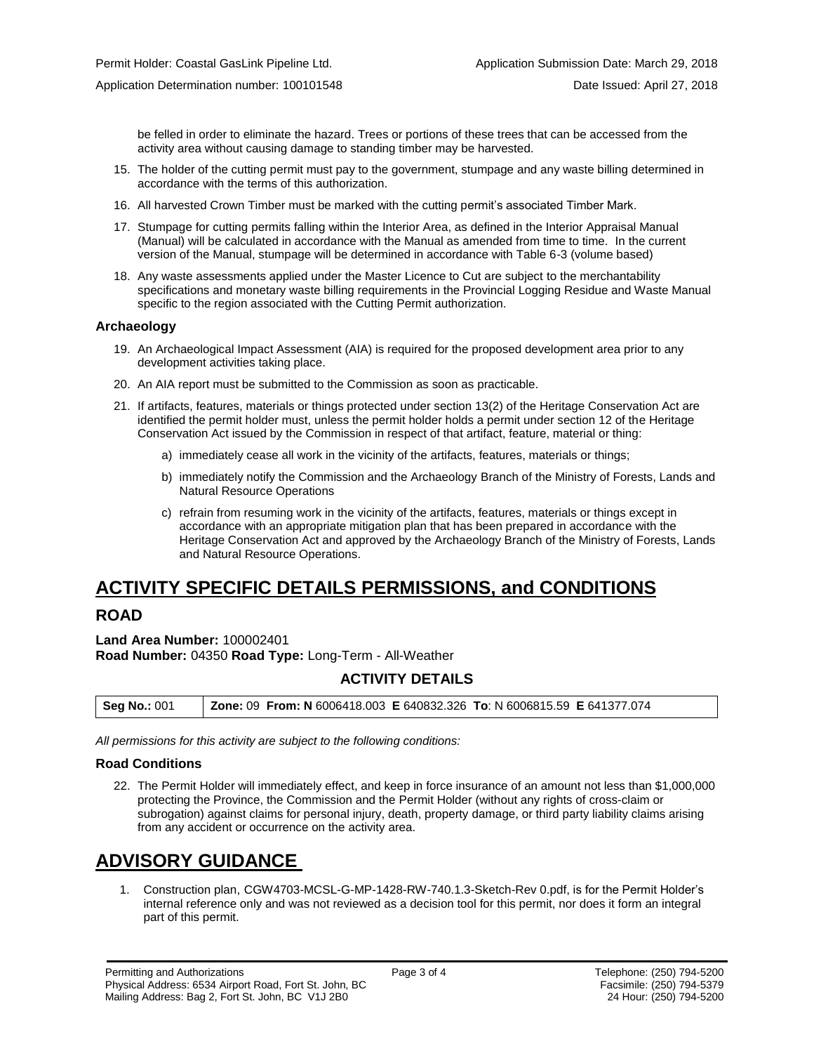be felled in order to eliminate the hazard. Trees or portions of these trees that can be accessed from the activity area without causing damage to standing timber may be harvested.

- 15. The holder of the cutting permit must pay to the government, stumpage and any waste billing determined in accordance with the terms of this authorization.
- 16. All harvested Crown Timber must be marked with the cutting permit's associated Timber Mark.
- 17. Stumpage for cutting permits falling within the Interior Area, as defined in the Interior Appraisal Manual (Manual) will be calculated in accordance with the Manual as amended from time to time. In the current version of the Manual, stumpage will be determined in accordance with Table 6-3 (volume based)
- 18. Any waste assessments applied under the Master Licence to Cut are subject to the merchantability specifications and monetary waste billing requirements in the Provincial Logging Residue and Waste Manual specific to the region associated with the Cutting Permit authorization.

#### **Archaeology**

- 19. An Archaeological Impact Assessment (AIA) is required for the proposed development area prior to any development activities taking place.
- 20. An AIA report must be submitted to the Commission as soon as practicable.
- 21. If artifacts, features, materials or things protected under section 13(2) of the Heritage Conservation Act are identified the permit holder must, unless the permit holder holds a permit under section 12 of the Heritage Conservation Act issued by the Commission in respect of that artifact, feature, material or thing:
	- a) immediately cease all work in the vicinity of the artifacts, features, materials or things;
	- b) immediately notify the Commission and the Archaeology Branch of the Ministry of Forests, Lands and Natural Resource Operations
	- c) refrain from resuming work in the vicinity of the artifacts, features, materials or things except in accordance with an appropriate mitigation plan that has been prepared in accordance with the Heritage Conservation Act and approved by the Archaeology Branch of the Ministry of Forests, Lands and Natural Resource Operations.

# **ACTIVITY SPECIFIC DETAILS PERMISSIONS, and CONDITIONS**

## **ROAD**

**Land Area Number:** 100002401 **Road Number:** 04350 **Road Type:** Long-Term - All-Weather

### **ACTIVITY DETAILS**

| Seg No.: 001 | <b>Zone: 09 From: N</b> 6006418.003 <b>E</b> 640832.326 To: N 6006815.59 <b>E</b> 641377.074 |  |
|--------------|----------------------------------------------------------------------------------------------|--|
|              |                                                                                              |  |

*All permissions for this activity are subject to the following conditions:*

#### **Road Conditions**

22. The Permit Holder will immediately effect, and keep in force insurance of an amount not less than \$1,000,000 protecting the Province, the Commission and the Permit Holder (without any rights of cross-claim or subrogation) against claims for personal injury, death, property damage, or third party liability claims arising from any accident or occurrence on the activity area.

# **ADVISORY GUIDANCE**

1. Construction plan, CGW4703-MCSL-G-MP-1428-RW-740.1.3-Sketch-Rev 0.pdf, is for the Permit Holder's internal reference only and was not reviewed as a decision tool for this permit, nor does it form an integral part of this permit.